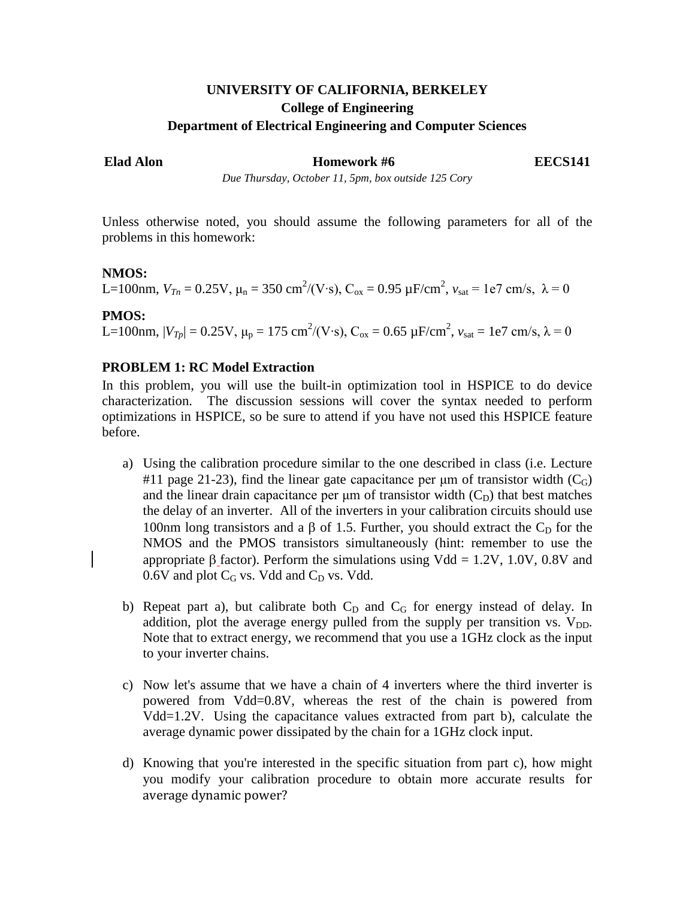# **UNIVERSITY OF CALIFORNIA, BERKELEY College of Engineering Department of Electrical Engineering and Computer Sciences**

**Example 1** Example **Homework #6** EECS141

*Due Thursday, October 11, 5pm, box outside 125 Cory*

Unless otherwise noted, you should assume the following parameters for all of the problems in this homework:

#### **NMOS:**

L=100nm,  $V_{Tn} = 0.25$ V,  $μ_n = 350$  cm<sup>2</sup>/(V⋅s), C<sub>ox</sub> = 0.95 μF/cm<sup>2</sup>,  $v_{sat}$  = 1e7 cm/s, λ = 0

# **PMOS:**

L=100nm,  $|V_{Tp}| = 0.25$ V,  $\mu_p = 175$  cm<sup>2</sup>/(V⋅s), C<sub>ox</sub> = 0.65 μF/cm<sup>2</sup>,  $v_{sat} = 1e7$  cm/s, λ = 0

# **PROBLEM 1: RC Model Extraction**

In this problem, you will use the built-in optimization tool in HSPICE to do device characterization. The discussion sessions will cover the syntax needed to perform optimizations in HSPICE, so be sure to attend if you have not used this HSPICE feature before.

- a) Using the calibration procedure similar to the one described in class (i.e. Lecture #11 page 21-23), find the linear gate capacitance per  $\mu$ m of transistor width (C<sub>G</sub>) and the linear drain capacitance per  $\mu$ m of transistor width  $(C_D)$  that best matches the delay of an inverter. All of the inverters in your calibration circuits should use 100nm long transistors and a β of 1.5. Further, you should extract the  $C<sub>D</sub>$  for the NMOS and the PMOS transistors simultaneously (hint: remember to use the appropriate  $\beta$  factor). Perform the simulations using Vdd = 1.2V, 1.0V, 0.8V and  $0.6V$  and plot  $C_G$  vs. Vdd and  $C_D$  vs. Vdd.
- b) Repeat part a), but calibrate both  $C_D$  and  $C_G$  for energy instead of delay. In addition, plot the average energy pulled from the supply per transition vs.  $V_{DD}$ . Note that to extract energy, we recommend that you use a 1GHz clock as the input to your inverter chains.
- c) Now let's assume that we have a chain of 4 inverters where the third inverter is powered from Vdd=0.8V, whereas the rest of the chain is powered from Vdd=1.2V. Using the capacitance values extracted from part b), calculate the average dynamic power dissipated by the chain for a 1GHz clock input.
- d) Knowing that you're interested in the specific situation from part c), how might you modify your calibration procedure to obtain more accurate results for average dynamic power?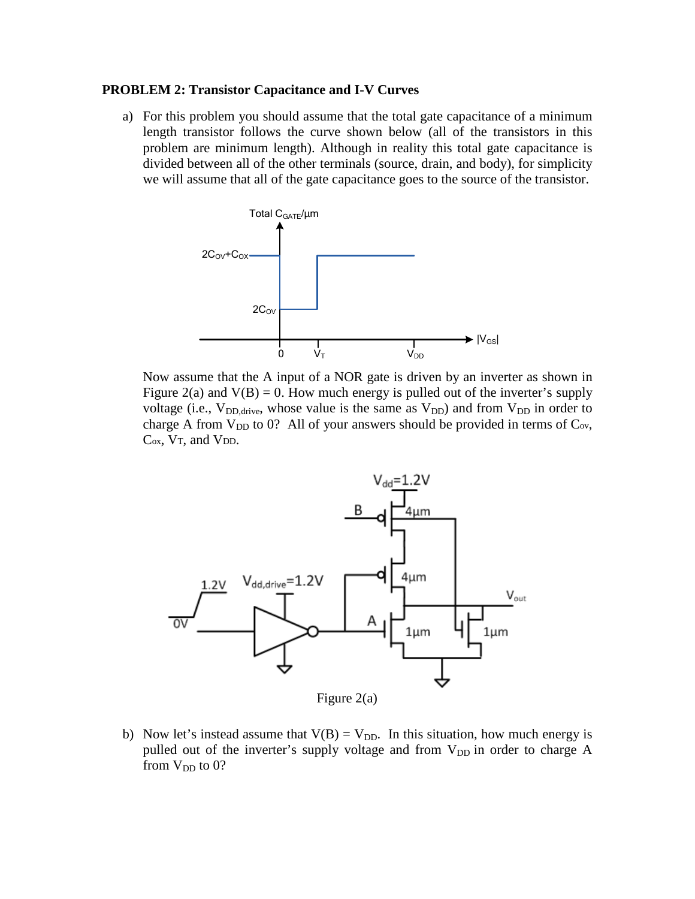#### **PROBLEM 2: Transistor Capacitance and I-V Curves**

a) For this problem you should assume that the total gate capacitance of a minimum length transistor follows the curve shown below (all of the transistors in this problem are minimum length). Although in reality this total gate capacitance is divided between all of the other terminals (source, drain, and body), for simplicity we will assume that all of the gate capacitance goes to the source of the transistor.



Now assume that the A input of a NOR gate is driven by an inverter as shown in Figure 2(a) and  $V(B) = 0$ . How much energy is pulled out of the inverter's supply voltage (i.e.,  $V_{DD,drive}$ , whose value is the same as  $V_{DD}$ ) and from  $V_{DD}$  in order to charge A from  $V_{DD}$  to 0? All of your answers should be provided in terms of  $C_{ov}$ , C<sub>ox</sub>, V<sub>T</sub>, and V<sub>DD</sub>.



b) Now let's instead assume that  $V(B) = V_{DD}$ . In this situation, how much energy is pulled out of the inverter's supply voltage and from  $V_{DD}$  in order to charge A from  $V_{DD}$  to 0?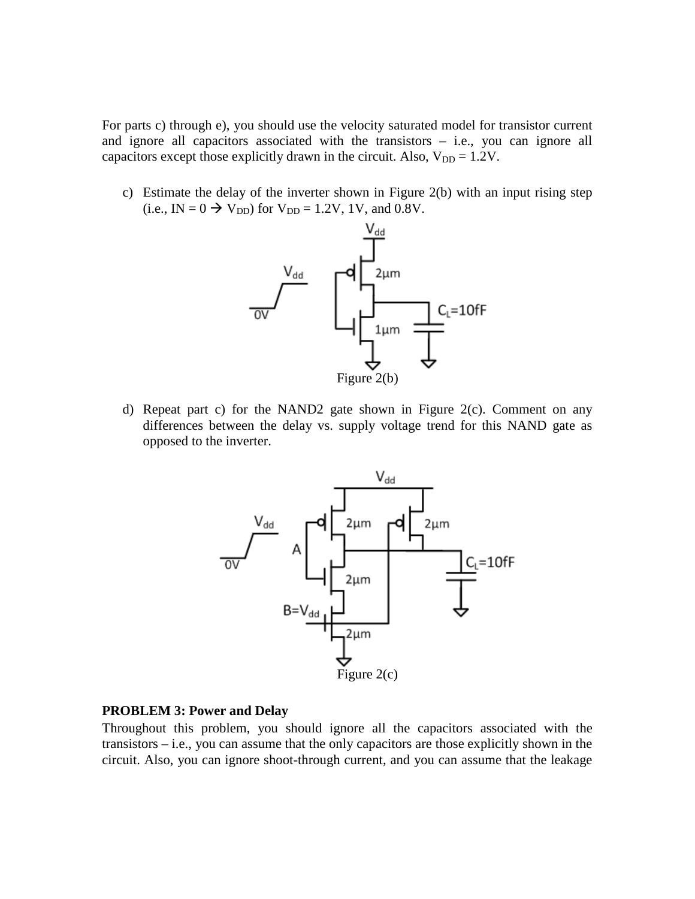For parts c) through e), you should use the velocity saturated model for transistor current and ignore all capacitors associated with the transistors – i.e., you can ignore all capacitors except those explicitly drawn in the circuit. Also,  $V_{DD} = 1.2V$ .

c) Estimate the delay of the inverter shown in Figure 2(b) with an input rising step (i.e., IN =  $0 \rightarrow V_{DD}$ ) for  $V_{DD} = 1.2V$ , 1V, and 0.8V.



d) Repeat part c) for the NAND2 gate shown in Figure 2(c). Comment on any differences between the delay vs. supply voltage trend for this NAND gate as opposed to the inverter.



# **PROBLEM 3: Power and Delay**

Throughout this problem, you should ignore all the capacitors associated with the transistors – i.e., you can assume that the only capacitors are those explicitly shown in the circuit. Also, you can ignore shoot-through current, and you can assume that the leakage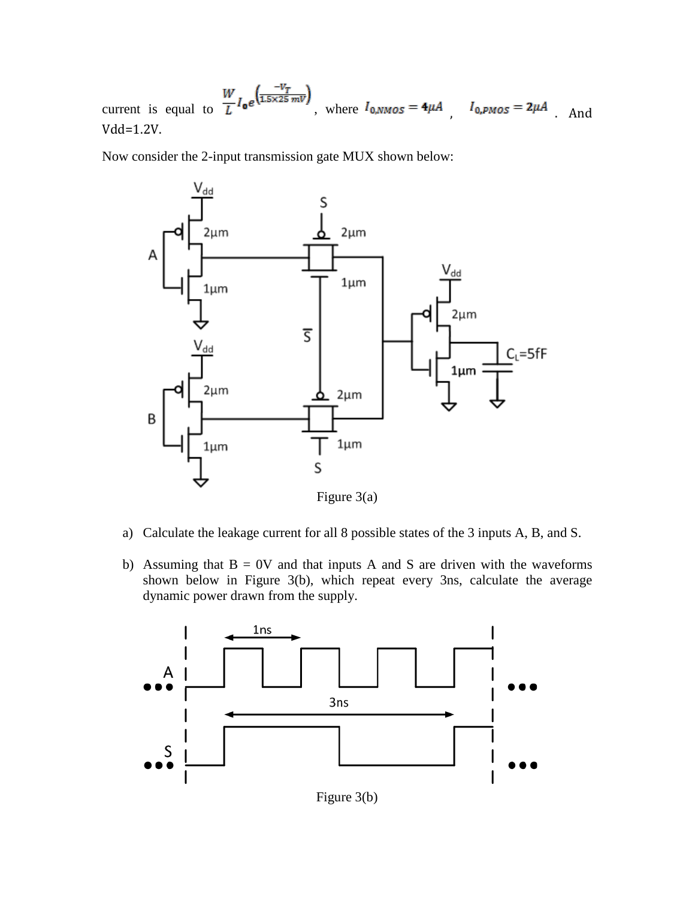current is equal to  $\frac{W}{L}I_0e^{\frac{-V_T}{(1.5 \times 25 \text{ mV})}}$ , where  $I_{0,NMOS} = 4\mu A$ ,  $I_{0,PMOS} = 2\mu A$ . And Vdd=1.2V.

Now consider the 2-input transmission gate MUX shown below:



- a) Calculate the leakage current for all 8 possible states of the 3 inputs A, B, and S.
- b) Assuming that  $B = 0V$  and that inputs A and S are driven with the waveforms shown below in Figure 3(b), which repeat every 3ns, calculate the average dynamic power drawn from the supply.



Figure 3(b)